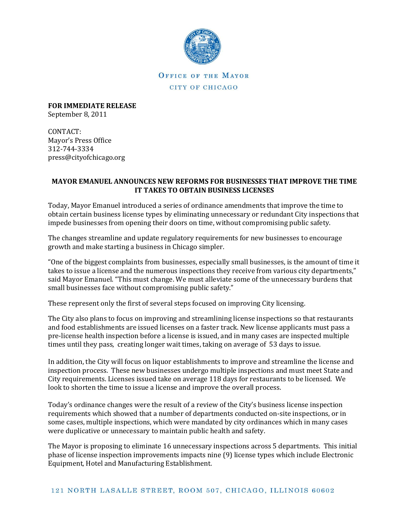

## OFFICE OF THE MAYOR CITY OF CHICAGO

**FOR IMMEDIATE RELEASE**  September 8, 2011

CONTACT: Mayor's Press Office 312-744-3334 press@cityofchicago.org

## **MAYOR EMANUEL ANNOUNCES NEW REFORMS FOR BUSINESSES THAT IMPROVE THE TIME IT TAKES TO OBTAIN BUSINESS LICENSES**

Today, Mayor Emanuel introduced a series of ordinance amendments that improve the time to obtain certain business license types by eliminating unnecessary or redundant City inspections that impede businesses from opening their doors on time, without compromising public safety.

The changes streamline and update regulatory requirements for new businesses to encourage growth and make starting a business in Chicago simpler.

"One of the biggest complaints from businesses, especially small businesses, is the amount of time it takes to issue a license and the numerous inspections they receive from various city departments," said Mayor Emanuel. "This must change. We must alleviate some of the unnecessary burdens that small businesses face without compromising public safety."

These represent only the first of several steps focused on improving City licensing.

The City also plans to focus on improving and streamlining license inspections so that restaurants and food establishments are issued licenses on a faster track. New license applicants must pass a pre-license health inspection before a license is issued, and in many cases are inspected multiple times until they pass, creating longer wait times, taking on average of 53 days to issue.

In addition, the City will focus on liquor establishments to improve and streamline the license and inspection process. These new businesses undergo multiple inspections and must meet State and City requirements. Licenses issued take on average 118 days for restaurants to be licensed. We look to shorten the time to issue a license and improve the overall process.

Today's ordinance changes were the result of a review of the City's business license inspection requirements which showed that a number of departments conducted on-site inspections, or in some cases, multiple inspections, which were mandated by city ordinances which in many cases were duplicative or unnecessary to maintain public health and safety.

The Mayor is proposing to eliminate 16 unnecessary inspections across 5 departments. This initial phase of license inspection improvements impacts nine (9) license types which include Electronic Equipment, Hotel and Manufacturing Establishment.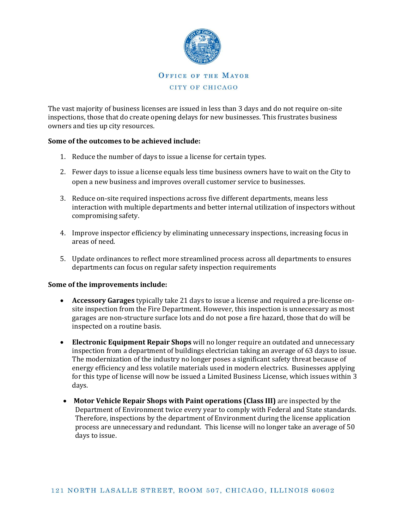

The vast majority of business licenses are issued in less than 3 days and do not require on-site inspections, those that do create opening delays for new businesses. This frustrates business owners and ties up city resources.

## **Some of the outcomes to be achieved include:**

- 1. Reduce the number of days to issue a license for certain types.
- 2. Fewer days to issue a license equals less time business owners have to wait on the City to open a new business and improves overall customer service to businesses.
- 3. Reduce on-site required inspections across five different departments, means less interaction with multiple departments and better internal utilization of inspectors without compromising safety.
- 4. Improve inspector efficiency by eliminating unnecessary inspections, increasing focus in areas of need.
- 5. Update ordinances to reflect more streamlined process across all departments to ensures departments can focus on regular safety inspection requirements

## **Some of the improvements include:**

- **Accessory Garages** typically take 21 days to issue a license and required a pre-license onsite inspection from the Fire Department. However, this inspection is unnecessary as most garages are non-structure surface lots and do not pose a fire hazard, those that do will be inspected on a routine basis.
- **Electronic Equipment Repair Shops** will no longer require an outdated and unnecessary inspection from a department of buildings electrician taking an average of 63 days to issue. The modernization of the industry no longer poses a significant safety threat because of energy efficiency and less volatile materials used in modern electrics. Businesses applying for this type of license will now be issued a Limited Business License, which issues within 3 days.
- **Motor Vehicle Repair Shops with Paint operations (Class III)** are inspected by the Department of Environment twice every year to comply with Federal and State standards. Therefore, inspections by the department of Environment during the license application process are unnecessary and redundant. This license will no longer take an average of 50 days to issue.